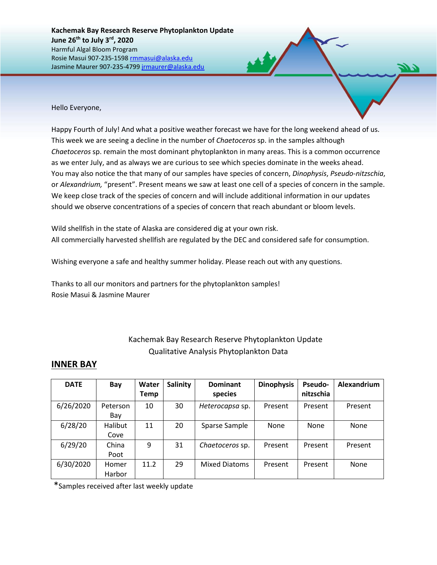Hello Everyone,

Happy Fourth of July! And what a positive weather forecast we have for the long weekend ahead of us. This week we are seeing a decline in the number of *Chaetoceros* sp. in the samples although *Chaetoceros* sp. remain the most dominant phytoplankton in many areas. This is a common occurrence as we enter July, and as always we are curious to see which species dominate in the weeks ahead. You may also notice the that many of our samples have species of concern, *Dinophysis*, *Pseudo-nitzschia*, or *Alexandrium,* "present". Present means we saw at least one cell of a species of concern in the sample. We keep close track of the species of concern and will include additional information in our updates should we observe concentrations of a species of concern that reach abundant or bloom levels.

Wild shellfish in the state of Alaska are considered dig at your own risk. All commercially harvested shellfish are regulated by the DEC and considered safe for consumption.

Wishing everyone a safe and healthy summer holiday. Please reach out with any questions.

Thanks to all our monitors and partners for the phytoplankton samples! Rosie Masui & Jasmine Maurer

## Kachemak Bay Research Reserve Phytoplankton Update Qualitative Analysis Phytoplankton Data

## **INNER BAY**

| <b>DATE</b> | Bay             | Water<br><b>Temp</b> | <b>Salinity</b> | <b>Dominant</b><br>species | <b>Dinophysis</b> | Pseudo-<br>nitzschia | Alexandrium |
|-------------|-----------------|----------------------|-----------------|----------------------------|-------------------|----------------------|-------------|
| 6/26/2020   | Peterson<br>Bay | 10                   | 30              | Heterocapsa sp.            | Present           | Present              | Present     |
| 6/28/20     | Halibut<br>Cove | 11                   | 20              | Sparse Sample              | None              | <b>None</b>          | None        |
| 6/29/20     | China<br>Poot   | 9                    | 31              | Chaetoceros sp.            | Present           | Present              | Present     |
| 6/30/2020   | Homer<br>Harbor | 11.2                 | 29              | <b>Mixed Diatoms</b>       | Present           | Present              | None        |

\*Samples received after last weekly update